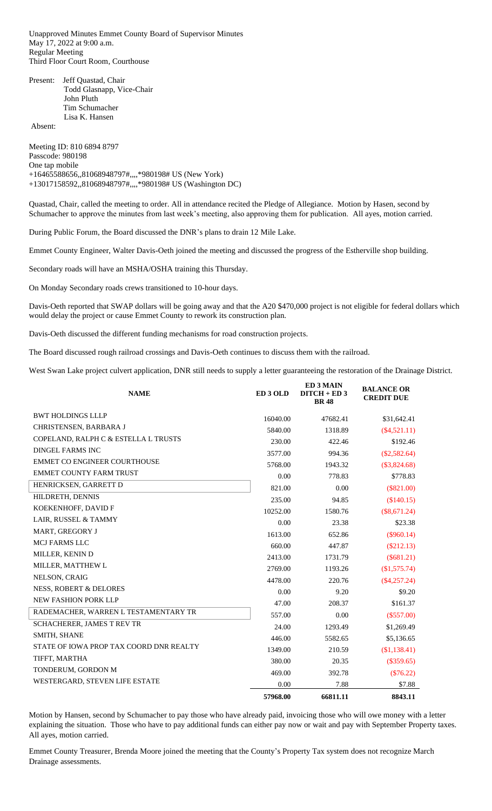Unapproved Minutes Emmet County Board of Supervisor Minutes May 17, 2022 at 9:00 a.m. Regular Meeting Third Floor Court Room, Courthouse

Present: Jeff Quastad, Chair Todd Glasnapp, Vice-Chair John Pluth Tim Schumacher Lisa K. Hansen

Absent:

Meeting ID: 810 6894 8797 Passcode: 980198 One tap mobile +16465588656,,81068948797#,,,,\*980198# US (New York) +13017158592,,81068948797#,,,,\*980198# US (Washington DC)

Quastad, Chair, called the meeting to order. All in attendance recited the Pledge of Allegiance. Motion by Hasen, second by Schumacher to approve the minutes from last week's meeting, also approving them for publication. All ayes, motion carried.

During Public Forum, the Board discussed the DNR's plans to drain 12 Mile Lake.

Emmet County Engineer, Walter Davis-Oeth joined the meeting and discussed the progress of the Estherville shop building.

Secondary roads will have an MSHA/OSHA training this Thursday.

On Monday Secondary roads crews transitioned to 10-hour days.

Davis-Oeth reported that SWAP dollars will be going away and that the A20 \$470,000 project is not eligible for federal dollars which would delay the project or cause Emmet County to rework its construction plan.

Davis-Oeth discussed the different funding mechanisms for road construction projects.

The Board discussed rough railroad crossings and Davis-Oeth continues to discuss them with the railroad.

West Swan Lake project culvert application, DNR still needs to supply a letter guaranteeing the restoration of the Drainage District.

| <b>NAME</b>                             | ED <sub>3</sub> OLD | <b>ED 3 MAIN</b><br>$DITCH + ED 3$<br><b>BR48</b> | <b>BALANCE OR</b><br><b>CREDIT DUE</b> |
|-----------------------------------------|---------------------|---------------------------------------------------|----------------------------------------|
| <b>BWT HOLDINGS LLLP</b>                | 16040.00            | 47682.41                                          | \$31,642.41                            |
| CHRISTENSEN, BARBARA J                  | 5840.00             | 1318.89                                           | $(\$4,521.11)$                         |
| COPELAND, RALPH C & ESTELLA L TRUSTS    | 230.00              | 422.46                                            | \$192.46                               |
| DINGEL FARMS INC                        | 3577.00             | 994.36                                            | $(\$2,582.64)$                         |
| <b>EMMET CO ENGINEER COURTHOUSE</b>     | 5768.00             | 1943.32                                           | $(\$3,824.68)$                         |
| <b>EMMET COUNTY FARM TRUST</b>          | 0.00                | 778.83                                            | \$778.83                               |
| HENRICKSEN, GARRETT D                   | 821.00              | 0.00                                              | $(\$821.00)$                           |
| HILDRETH, DENNIS                        | 235.00              | 94.85                                             | (\$140.15)                             |
| KOEKENHOFF, DAVID F                     | 10252.00            | 1580.76                                           | $(\$8,671.24)$                         |
| LAIR, RUSSEL & TAMMY                    | 0.00                | 23.38                                             | \$23.38                                |
| MART, GREGORY J                         | 1613.00             | 652.86                                            | $(\$960.14)$                           |
| <b>MCJ FARMS LLC</b>                    | 660.00              | 447.87                                            | $(\$212.13)$                           |
| MILLER, KENIN D                         | 2413.00             | 1731.79                                           | $(\$681.21)$                           |
| MILLER, MATTHEW L                       | 2769.00             | 1193.26                                           | (\$1,575.74)                           |
| NELSON, CRAIG                           | 4478.00             | 220.76                                            | $(\$4,257.24)$                         |
| <b>NESS, ROBERT &amp; DELORES</b>       | 0.00                | 9.20                                              | \$9.20                                 |
| <b>NEW FASHION PORK LLP</b>             | 47.00               | 208.37                                            | \$161.37                               |
| RADEMACHER, WARREN L TESTAMENTARY TR    | 557.00              | 0.00                                              | $(\$557.00)$                           |
| <b>SCHACHERER, JAMES T REV TR</b>       | 24.00               | 1293.49                                           | \$1,269.49                             |
| SMITH, SHANE                            | 446.00              | 5582.65                                           | \$5,136.65                             |
| STATE OF IOWA PROP TAX COORD DNR REALTY | 1349.00             | 210.59                                            | (\$1,138.41)                           |
| TIFFT, MARTHA                           | 380.00              | 20.35                                             | $(\$359.65)$                           |
| TONDERUM, GORDON M                      | 469.00              | 392.78                                            | $(\$76.22)$                            |
| WESTERGARD, STEVEN LIFE ESTATE          | 0.00                | 7.88                                              | \$7.88                                 |
|                                         | 57968.00            | 66811.11                                          | 8843.11                                |

Motion by Hansen, second by Schumacher to pay those who have already paid, invoicing those who will owe money with a letter explaining the situation. Those who have to pay additional funds can either pay now or wait and pay with September Property taxes. All ayes, motion carried.

Emmet County Treasurer, Brenda Moore joined the meeting that the County's Property Tax system does not recognize March Drainage assessments.